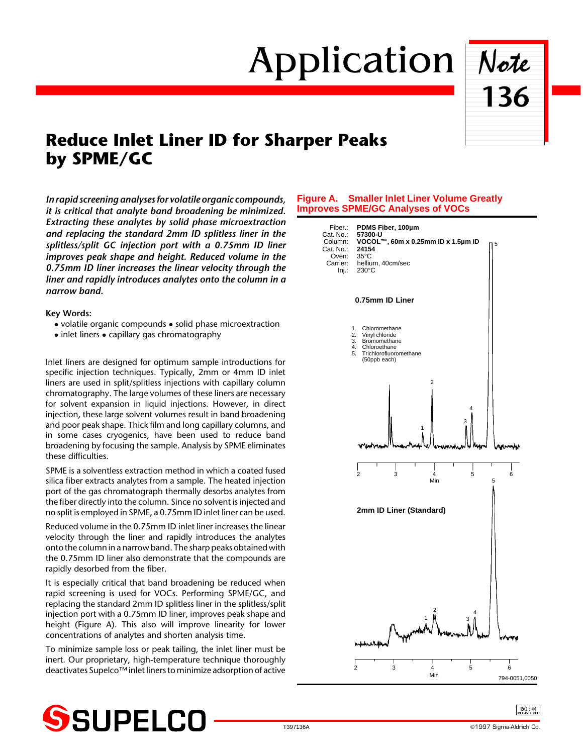# Application Note



# **Reduce Inlet Liner ID for Sharper Peaks by SPME/GC**

*In rapid screening analyses for volatile organic compounds, it is critical that analyte band broadening be minimized. Extracting these analytes by solid phase microextraction and replacing the standard 2mm ID splitless liner in the splitless/split GC injection port with a 0.75mm ID liner improves peak shape and height. Reduced volume in the 0.75mm ID liner increases the linear velocity through the liner and rapidly introduces analytes onto the column in a narrow band.*

**Key Words:**

- $\bullet$  volatile organic compounds  $\bullet$  solid phase microextraction
- $\bullet$  inlet liners  $\bullet$  capillary gas chromatography

Inlet liners are designed for optimum sample introductions for specific injection techniques. Typically, 2mm or 4mm ID inlet liners are used in split/splitless injections with capillary column chromatography. The large volumes of these liners are necessary for solvent expansion in liquid injections. However, in direct injection, these large solvent volumes result in band broadening and poor peak shape. Thick film and long capillary columns, and in some cases cryogenics, have been used to reduce band broadening by focusing the sample. Analysis by SPME eliminates these difficulties.

SPME is a solventless extraction method in which a coated fused silica fiber extracts analytes from a sample. The heated injection port of the gas chromatograph thermally desorbs analytes from the fiber directly into the column. Since no solvent is injected and no split is employed in SPME, a 0.75mm ID inlet liner can be used.

Reduced volume in the 0.75mm ID inlet liner increases the linear velocity through the liner and rapidly introduces the analytes onto the column in a narrow band. The sharp peaks obtained with the 0.75mm ID liner also demonstrate that the compounds are rapidly desorbed from the fiber.

It is especially critical that band broadening be reduced when rapid screening is used for VOCs. Performing SPME/GC, and replacing the standard 2mm ID splitless liner in the splitless/split injection port with a 0.75mm ID liner, improves peak shape and height (Figure A). This also will improve linearity for lower concentrations of analytes and shorten analysis time.

To minimize sample loss or peak tailing, the inlet liner must be inert. Our proprietary, high-temperature technique thoroughly deactivates Supelco™ inlet liners to minimize adsorption of active

# **Figure A. Smaller Inlet Liner Volume Greatly Improves SPME/GC Analyses of VOCs**





 $\frac{[SO 900]}{REGISTERED}$